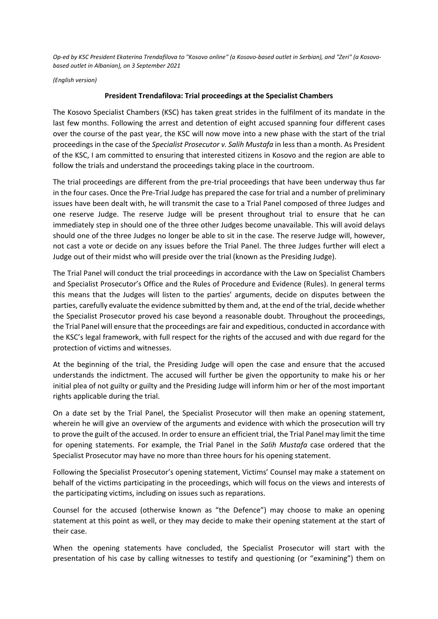*Op-ed by KSC President Ekaterina Trendafilova to "Kosovo online" (a Kosovo-based outlet in Serbian), and "Zeri" (a Kosovobased outlet in Albanian), on 3 September 2021*

*(English version)*

## **President Trendafilova: Trial proceedings at the Specialist Chambers**

The Kosovo Specialist Chambers (KSC) has taken great strides in the fulfilment of its mandate in the last few months. Following the arrest and detention of eight accused spanning four different cases over the course of the past year, the KSC will now move into a new phase with the start of the trial proceedings in the case of the *Specialist Prosecutor v. Salih Mustafa* in less than a month. As President of the KSC, I am committed to ensuring that interested citizens in Kosovo and the region are able to follow the trials and understand the proceedings taking place in the courtroom.

The trial proceedings are different from the pre-trial proceedings that have been underway thus far in the four cases. Once the Pre-Trial Judge has prepared the case for trial and a number of preliminary issues have been dealt with, he will transmit the case to a Trial Panel composed of three Judges and one reserve Judge. The reserve Judge will be present throughout trial to ensure that he can immediately step in should one of the three other Judges become unavailable. This will avoid delays should one of the three Judges no longer be able to sit in the case. The reserve Judge will, however, not cast a vote or decide on any issues before the Trial Panel. The three Judges further will elect a Judge out of their midst who will preside over the trial (known as the Presiding Judge).

The Trial Panel will conduct the trial proceedings in accordance with the Law on Specialist Chambers and Specialist Prosecutor's Office and the Rules of Procedure and Evidence (Rules). In general terms this means that the Judges will listen to the parties' arguments, decide on disputes between the parties, carefully evaluate the evidence submitted by them and, at the end of the trial, decide whether the Specialist Prosecutor proved his case beyond a reasonable doubt. Throughout the proceedings, the Trial Panel will ensure that the proceedings are fair and expeditious, conducted in accordance with the KSC's legal framework, with full respect for the rights of the accused and with due regard for the protection of victims and witnesses.

At the beginning of the trial, the Presiding Judge will open the case and ensure that the accused understands the indictment. The accused will further be given the opportunity to make his or her initial plea of not guilty or guilty and the Presiding Judge will inform him or her of the most important rights applicable during the trial.

On a date set by the Trial Panel, the Specialist Prosecutor will then make an opening statement, wherein he will give an overview of the arguments and evidence with which the prosecution will try to prove the guilt of the accused. In order to ensure an efficient trial, the Trial Panel may limit the time for opening statements. For example, the Trial Panel in the *Salih Mustafa* case ordered that the Specialist Prosecutor may have no more than three hours for his opening statement.

Following the Specialist Prosecutor's opening statement, Victims' Counsel may make a statement on behalf of the victims participating in the proceedings, which will focus on the views and interests of the participating victims, including on issues such as reparations.

Counsel for the accused (otherwise known as "the Defence") may choose to make an opening statement at this point as well, or they may decide to make their opening statement at the start of their case.

When the opening statements have concluded, the Specialist Prosecutor will start with the presentation of his case by calling witnesses to testify and questioning (or "examining") them on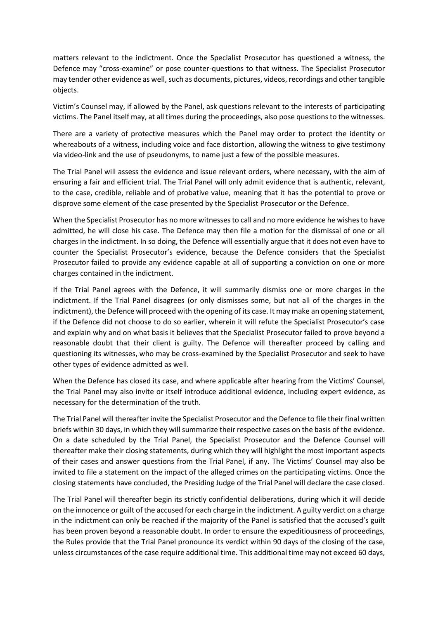matters relevant to the indictment. Once the Specialist Prosecutor has questioned a witness, the Defence may "cross-examine" or pose counter-questions to that witness. The Specialist Prosecutor may tender other evidence as well, such as documents, pictures, videos, recordings and other tangible objects.

Victim's Counsel may, if allowed by the Panel, ask questions relevant to the interests of participating victims. The Panel itself may, at all times during the proceedings, also pose questions to the witnesses.

There are a variety of protective measures which the Panel may order to protect the identity or whereabouts of a witness, including voice and face distortion, allowing the witness to give testimony via video-link and the use of pseudonyms, to name just a few of the possible measures.

The Trial Panel will assess the evidence and issue relevant orders, where necessary, with the aim of ensuring a fair and efficient trial. The Trial Panel will only admit evidence that is authentic, relevant, to the case, credible, reliable and of probative value, meaning that it has the potential to prove or disprove some element of the case presented by the Specialist Prosecutor or the Defence.

When the Specialist Prosecutor has no more witnesses to call and no more evidence he wishes to have admitted, he will close his case. The Defence may then file a motion for the dismissal of one or all charges in the indictment. In so doing, the Defence will essentially argue that it does not even have to counter the Specialist Prosecutor's evidence, because the Defence considers that the Specialist Prosecutor failed to provide any evidence capable at all of supporting a conviction on one or more charges contained in the indictment.

If the Trial Panel agrees with the Defence, it will summarily dismiss one or more charges in the indictment. If the Trial Panel disagrees (or only dismisses some, but not all of the charges in the indictment), the Defence will proceed with the opening of its case. It may make an opening statement, if the Defence did not choose to do so earlier, wherein it will refute the Specialist Prosecutor's case and explain why and on what basis it believes that the Specialist Prosecutor failed to prove beyond a reasonable doubt that their client is guilty. The Defence will thereafter proceed by calling and questioning its witnesses, who may be cross-examined by the Specialist Prosecutor and seek to have other types of evidence admitted as well.

When the Defence has closed its case, and where applicable after hearing from the Victims' Counsel, the Trial Panel may also invite or itself introduce additional evidence, including expert evidence, as necessary for the determination of the truth.

The Trial Panel will thereafter invite the Specialist Prosecutor and the Defence to file their final written briefs within 30 days, in which they will summarize their respective cases on the basis of the evidence. On a date scheduled by the Trial Panel, the Specialist Prosecutor and the Defence Counsel will thereafter make their closing statements, during which they will highlight the most important aspects of their cases and answer questions from the Trial Panel, if any. The Victims' Counsel may also be invited to file a statement on the impact of the alleged crimes on the participating victims. Once the closing statements have concluded, the Presiding Judge of the Trial Panel will declare the case closed.

The Trial Panel will thereafter begin its strictly confidential deliberations, during which it will decide on the innocence or guilt of the accused for each charge in the indictment. A guilty verdict on a charge in the indictment can only be reached if the majority of the Panel is satisfied that the accused's guilt has been proven beyond a reasonable doubt. In order to ensure the expeditiousness of proceedings, the Rules provide that the Trial Panel pronounce its verdict within 90 days of the closing of the case, unless circumstances of the case require additional time. This additional time may not exceed 60 days,